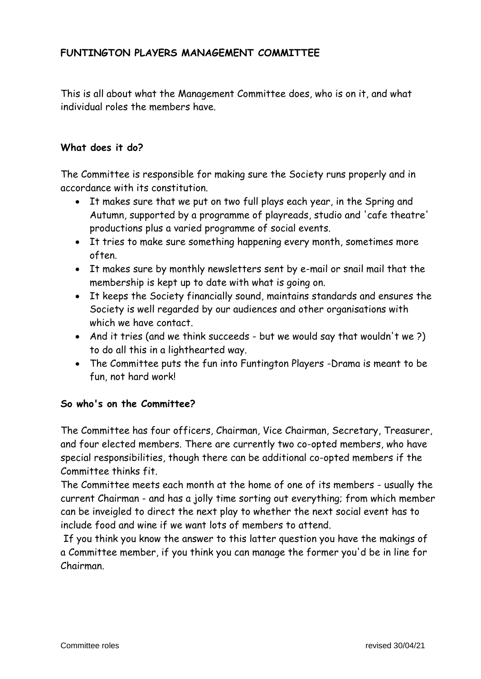# **FUNTINGTON PLAYERS MANAGEMENT COMMITTEE**

This is all about what the Management Committee does, who is on it, and what individual roles the members have.

#### **What does it do?**

The Committee is responsible for making sure the Society runs properly and in accordance with its constitution.

- It makes sure that we put on two full plays each year, in the Spring and Autumn, supported by a programme of playreads, studio and 'cafe theatre' productions plus a varied programme of social events.
- It tries to make sure something happening every month, sometimes more often.
- It makes sure by monthly newsletters sent by e-mail or snail mail that the membership is kept up to date with what is going on.
- It keeps the Society financially sound, maintains standards and ensures the Society is well regarded by our audiences and other organisations with which we have contact.
- And it tries (and we think succeeds but we would say that wouldn't we?) to do all this in a lighthearted way.
- The Committee puts the fun into Funtington Players -Drama is meant to be fun, not hard work!

#### **So who's on the Committee?**

The Committee has four officers, Chairman, Vice Chairman, Secretary, Treasurer, and four elected members. There are currently two co-opted members, who have special responsibilities, though there can be additional co-opted members if the Committee thinks fit.

The Committee meets each month at the home of one of its members - usually the current Chairman - and has a jolly time sorting out everything; from which member can be inveigled to direct the next play to whether the next social event has to include food and wine if we want lots of members to attend.

If you think you know the answer to this latter question you have the makings of a Committee member, if you think you can manage the former you'd be in line for Chairman.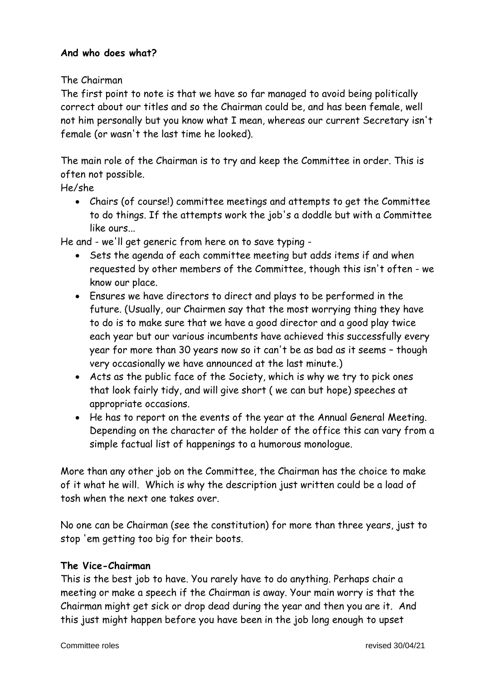#### **And who does what?**

The Chairman

The first point to note is that we have so far managed to avoid being politically correct about our titles and so the Chairman could be, and has been female, well not him personally but you know what I mean, whereas our current Secretary isn't female (or wasn't the last time he looked).

The main role of the Chairman is to try and keep the Committee in order. This is often not possible.

He/she

• Chairs (of course!) committee meetings and attempts to get the Committee to do things. If the attempts work the job's a doddle but with a Committee like ours...

He and - we'll get generic from here on to save typing -

- Sets the agenda of each committee meeting but adds items if and when requested by other members of the Committee, though this isn't often - we know our place.
- Ensures we have directors to direct and plays to be performed in the future. (Usually, our Chairmen say that the most worrying thing they have to do is to make sure that we have a good director and a good play twice each year but our various incumbents have achieved this successfully every year for more than 30 years now so it can't be as bad as it seems – though very occasionally we have announced at the last minute.)
- Acts as the public face of the Society, which is why we try to pick ones that look fairly tidy, and will give short ( we can but hope) speeches at appropriate occasions.
- He has to report on the events of the year at the Annual General Meeting. Depending on the character of the holder of the office this can vary from a simple factual list of happenings to a humorous monologue.

More than any other job on the Committee, the Chairman has the choice to make of it what he will. Which is why the description just written could be a load of tosh when the next one takes over.

No one can be Chairman (see the constitution) for more than three years, just to stop 'em getting too big for their boots.

## **The Vice-Chairman**

This is the best job to have. You rarely have to do anything. Perhaps chair a meeting or make a speech if the Chairman is away. Your main worry is that the Chairman might get sick or drop dead during the year and then you are it. And this just might happen before you have been in the job long enough to upset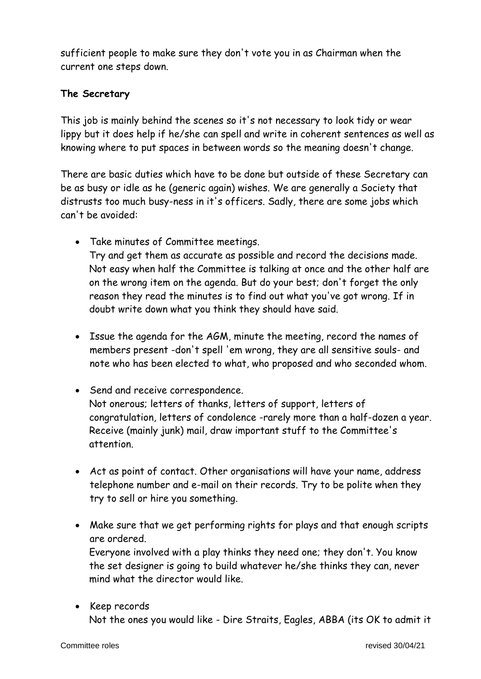sufficient people to make sure they don't vote you in as Chairman when the current one steps down.

#### **The Secretary**

This job is mainly behind the scenes so it's not necessary to look tidy or wear lippy but it does help if he/she can spell and write in coherent sentences as well as knowing where to put spaces in between words so the meaning doesn't change.

There are basic duties which have to be done but outside of these Secretary can be as busy or idle as he (generic again) wishes. We are generally a Society that distrusts too much busy-ness in it's officers. Sadly, there are some jobs which can't be avoided:

- Take minutes of Committee meetings. Try and get them as accurate as possible and record the decisions made. Not easy when half the Committee is talking at once and the other half are on the wrong item on the agenda. But do your best; don't forget the only reason they read the minutes is to find out what you've got wrong. If in doubt write down what you think they should have said.
- Issue the agenda for the AGM, minute the meeting, record the names of members present -don't spell 'em wrong, they are all sensitive souls- and note who has been elected to what, who proposed and who seconded whom.
- Send and receive correspondence. Not onerous; letters of thanks, letters of support, letters of congratulation, letters of condolence -rarely more than a half-dozen a year. Receive (mainly junk) mail, draw important stuff to the Committee's attention.
- Act as point of contact. Other organisations will have your name, address telephone number and e-mail on their records. Try to be polite when they try to sell or hire you something.
- Make sure that we get performing rights for plays and that enough scripts are ordered.

Everyone involved with a play thinks they need one; they don't. You know the set designer is going to build whatever he/she thinks they can, never mind what the director would like.

• Keep records Not the ones you would like - Dire Straits, Eagles, ABBA (its OK to admit it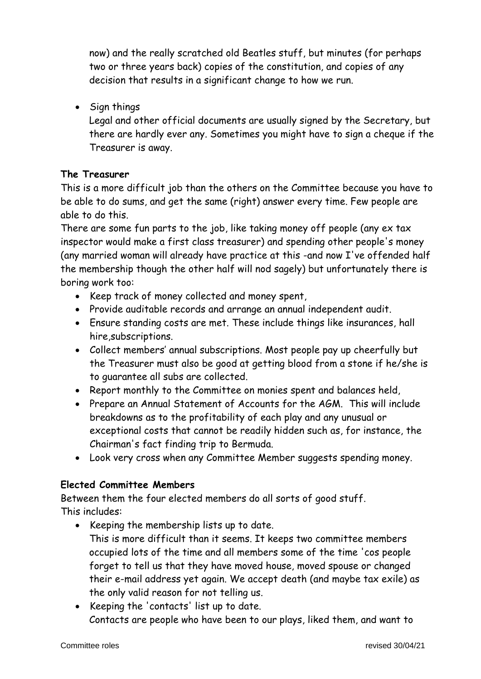now) and the really scratched old Beatles stuff, but minutes (for perhaps two or three years back) copies of the constitution, and copies of any decision that results in a significant change to how we run.

• Sign things

Legal and other official documents are usually signed by the Secretary, but there are hardly ever any. Sometimes you might have to sign a cheque if the Treasurer is away.

## **The Treasurer**

This is a more difficult job than the others on the Committee because you have to be able to do sums, and get the same (right) answer every time. Few people are able to do this.

There are some fun parts to the job, like taking money off people (any ex tax inspector would make a first class treasurer) and spending other people's money (any married woman will already have practice at this -and now I've offended half the membership though the other half will nod sagely) but unfortunately there is boring work too:

- Keep track of money collected and money spent,
- Provide auditable records and arrange an annual independent audit.
- Ensure standing costs are met. These include things like insurances, hall hire,subscriptions.
- Collect members' annual subscriptions. Most people pay up cheerfully but the Treasurer must also be good at getting blood from a stone if he/she is to guarantee all subs are collected.
- Report monthly to the Committee on monies spent and balances held,
- Prepare an Annual Statement of Accounts for the AGM. This will include breakdowns as to the profitability of each play and any unusual or exceptional costs that cannot be readily hidden such as, for instance, the Chairman's fact finding trip to Bermuda.
- Look very cross when any Committee Member suggests spending money.

## **Elected Committee Members**

Between them the four elected members do all sorts of good stuff. This includes:

- Keeping the membership lists up to date. This is more difficult than it seems. It keeps two committee members occupied lots of the time and all members some of the time 'cos people forget to tell us that they have moved house, moved spouse or changed their e-mail address yet again. We accept death (and maybe tax exile) as the only valid reason for not telling us.
- Keeping the 'contacts' list up to date. Contacts are people who have been to our plays, liked them, and want to